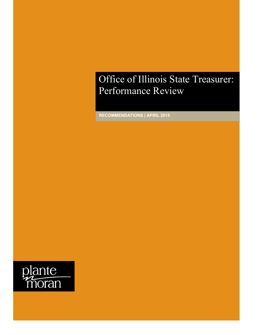## Office of Illinois State Treasurer: Performance Review

**RECOMMENDATIONS | APRIL 2015**

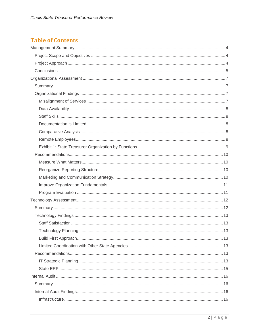## **Table of Contents**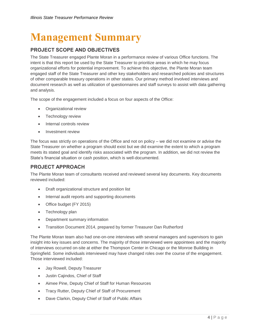## <span id="page-3-0"></span>**Management Summary**

## <span id="page-3-1"></span>**PROJECT SCOPE AND OBJECTIVES**

The State Treasurer engaged Plante Moran in a performance review of various Office functions. The intent is that this report be used by the State Treasurer to prioritize areas in which he may focus organizational efforts for potential improvement. To achieve this objective, the Plante Moran team engaged staff of the State Treasurer and other key stakeholders and researched policies and structures of other comparable treasury operations in other states. Our primary method involved interviews and document research as well as utilization of questionnaires and staff surveys to assist with data gathering and analysis.

The scope of the engagement included a focus on four aspects of the Office:

- Organizational review
- Technology review
- Internal controls review
- Investment review

The focus was strictly on operations of the Office and not on policy – we did not examine or advise the State Treasurer on whether a program should exist but we did examine the extent to which a program meets its stated goal and identify risks associated with the program. In addition, we did not review the State's financial situation or cash position, which is well-documented.

## <span id="page-3-2"></span>**PROJECT APPROACH**

The Plante Moran team of consultants received and reviewed several key documents. Key documents reviewed included:

- Draft organizational structure and position list
- Internal audit reports and supporting documents
- Office budget (FY 2015)
- Technology plan
- Department summary information
- Transition Document 2014, prepared by former Treasurer Dan Rutherford

The Plante Moran team also had one-on-one interviews with several managers and supervisors to gain insight into key issues and concerns. The majority of those interviewed were appointees and the majority of interviews occurred on-site at either the Thompson Center in Chicago or the Monroe Building in Springfield. Some individuals interviewed may have changed roles over the course of the engagement. Those interviewed included:

- Jay Rowell, Deputy Treasurer
- Justin Cajindos, Chief of Staff
- Aimee Pine, Deputy Chief of Staff for Human Resources
- Tracy Rutter, Deputy Chief of Staff of Procurement
- Dave Clarkin, Deputy Chief of Staff of Public Affairs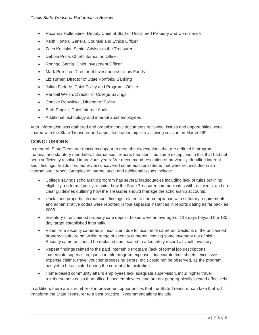- Roxanna Hollenstine, Deputy Chief of Staff of Unclaimed Property and Compliance
- Keith Horton, General Counsel and Ethics Officer
- Zach Koutsky, Senior Advisor to the Treasurer
- Debbie Price, Chief Information Officer
- Rodrigo Garcia, Chief Investment Officer
- Mark Polistina, Director of Investments/ Illinois Funds
- Liz Turner, Director of State Portfolio/ Banking
- Julian Federle, Chief Policy and Programs Officer
- Randall Welsh, Director of College Savings
- Chasse Rehwinkel, Director of Policy
- Barb Ringler, Chief Internal Audit
- Additional technology and internal audit employees

After information was gathered and organizational documents reviewed, issues and opportunities were shared with the State Treasurer and appointed leadership in a visioning session on March 26<sup>th</sup>.

#### <span id="page-4-0"></span>**CONCLUSIONS**

In general, State Treasurer functions appear to meet the expectations that are defined in program material and statutory mandates. Internal audit reports had identified some exceptions to this that had not been sufficiently resolved in previous years. We recommend resolution of previously identified internal audit findings. In addition, our review uncovered some additional items that were not included in an internal audit report. Samples of internal audit and additional issues include:

- College savings scholarship program has several inadequacies including lack of rules outlining eligibility, no formal policy to guide how the State Treasurer communicates with recipients, and no clear guidelines outlining how the Treasurer should manage the scholarship accounts.
- Unclaimed property internal audit findings related to non-compliance with statutory requirements and administrative codes were reported in four separate instances in reports dating as far back as 2005.
- Inventory of unclaimed property safe deposit boxes were an average of 118 days beyond the 180 day target established internally.
- Video from security cameras is insufficient due to location of cameras. Sections of the unclaimed property vault are not within range of security cameras, leaving some inventory out of sight. Security cameras should be replaced and located to adequately record all vault inventory.
- Repeat findings related to the paid Internship Program (lack of formal job descriptions, inadequate supervision, questionable program expenses, inaccurate time sheets, excessive expense claims, travel voucher processing errors, etc.) could not be observed, as the program has yet to be activated during the current administration.
- Home-based community affairs employees lack adequate supervision, incur higher travel reimbursement costs than office-based employees, and are not geographically located effectively.

In addition, there are a number of improvement opportunities that the State Treasurer can take that will transform the State Treasurer to a best practice. Recommendations include: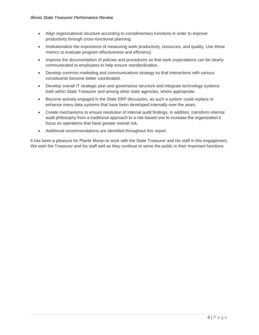- Align organizational structure according to complimentary functions in order to improve productivity through cross-functional planning.
- Institutionalize the importance of measuring work productivity, resources, and quality. Use these metrics to evaluate program effectiveness and efficiency.
- Improve the documentation of policies and procedures so that work expectations can be clearly communicated to employees to help ensure standardization.
- Develop common marketing and communications strategy so that interactions with various constituents become better coordinated.
- Develop overall IT strategic plan and governance structure and integrate technology systems both within State Treasurer and among other state agencies, where appropriate.
- Become actively engaged in the State ERP discussion, as such a system could replace or enhance many data systems that have been developed internally over the years.
- Create mechanisms to ensure resolution of internal audit findings. In addition, transform internal audit philosophy from a traditional approach to a risk-based one to increase the organization's focus on operations that have greater overall risk.
- Additional recommendations are identified throughout this report.

It has been a pleasure for Plante Moran to work with the State Treasurer and his staff in this engagement. We wish the Treasurer and his staff well as they continue to serve the public in their important functions.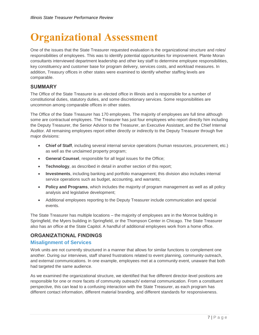## <span id="page-6-0"></span>**Organizational Assessment**

One of the issues that the State Treasurer requested evaluation is the organizational structure and roles/ responsibilities of employees. This was to identify potential opportunities for improvement. Plante Moran consultants interviewed department leadership and other key staff to determine employee responsibilities, key constituency and customer base for program delivery, services costs, and workload measures. In addition, Treasury offices in other states were examined to identify whether staffing levels are comparable.

## <span id="page-6-1"></span>**SUMMARY**

The Office of the State Treasurer is an elected office in Illinois and is responsible for a number of constitutional duties, statutory duties, and some discretionary services. Some responsibilities are uncommon among comparable offices in other states.

The Office of the State Treasurer has 170 employees. The majority of employees are full time although some are contractual employees. The Treasurer has just four employees who report directly him including the Deputy Treasurer, the Senior Advisor to the Treasurer, an Executive Assistant, and the Chief Internal Auditor. All remaining employees report either directly or indirectly to the Deputy Treasurer through five major divisions:

- **Chief of Staff**, including several internal service operations (human resources, procurement, etc.) as well as the unclaimed property program;
- **General Counsel**, responsible for all legal issues for the Office;
- **Technology**, as described in detail in another section of this report;
- **Investments**, including banking and portfolio management; this division also includes internal service operations such as budget, accounting, and warrants;
- **Policy and Programs**, which includes the majority of program management as well as all policy analysis and legislative development;
- Additional employees reporting to the Deputy Treasurer include communication and special events.

The State Treasurer has multiple locations – the majority of employees are in the Monroe building in Springfield, the Myers building in Springfield, or the Thompson Center in Chicago. The State Treasurer also has an office at the State Capitol. A handful of additional employees work from a home office.

## <span id="page-6-2"></span>**ORGANIZATIONAL FINDINGS**

## <span id="page-6-3"></span>**Misalignment of Services**

Work units are not currently structured in a manner that allows for similar functions to complement one another. During our interviews, staff shared frustrations related to event planning, community outreach, and external communications. In one example, employees met at a community event, unaware that both had targeted the same audience.

As we examined the organizational structure, we identified that five different director-level positions are responsible for one or more facets of community outreach/ external communication. From a constituent perspective, this can lead to a confusing interaction with the State Treasurer, as each program has different contact information, different material branding, and different standards for responsiveness.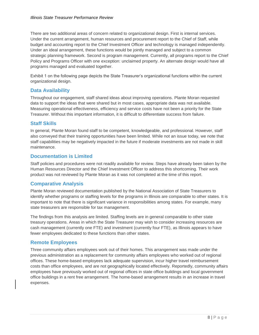There are two additional areas of concern related to organizational design. First is internal services. Under the current arrangement, human resources and procurement report to the Chief of Staff, while budget and accounting report to the Chief Investment Officer and technology is managed independently. Under an ideal arrangement, these functions would be jointly managed and subject to a common strategic planning framework. Second is program management. Currently, all programs report to the Chief Policy and Programs Officer with one exception: unclaimed property. An alternate design would have all programs managed and evaluated together.

Exhibit 1 on the following page depicts the State Treasurer's organizational functions within the current organizational design.

#### <span id="page-7-0"></span>**Data Availability**

Throughout our engagement, staff shared ideas about improving operations. Plante Moran requested data to support the ideas that were shared but in most cases, appropriate data was not available. Measuring operational effectiveness, efficiency and service costs have not been a priority for the State Treasurer. Without this important information, it is difficult to differentiate success from failure.

#### <span id="page-7-1"></span>**Staff Skills**

In general, Plante Moran found staff to be competent, knowledgeable, and professional. However, staff also conveyed that their training opportunities have been limited. While not an issue today, we note that staff capabilities may be negatively impacted in the future if moderate investments are not made in skill maintenance.

#### <span id="page-7-2"></span>**Documentation is Limited**

Staff policies and procedures were not readily available for review. Steps have already been taken by the Human Resources Director and the Chief Investment Officer to address this shortcoming. Their work product was not reviewed by Plante Moran as it was not completed at the time of this report.

## <span id="page-7-3"></span>**Comparative Analysis**

Plante Moran reviewed documentation published by the National Association of State Treasurers to identify whether programs or staffing levels for the programs in Illinois are comparable to other states. It is important to note that there is significant variance in responsibilities among states. For example, many state treasurers are responsible for tax management.

The findings from this analysis are limited. Staffing levels are in general comparable to other state treasury operations. Areas in which the State Treasurer may wish to consider increasing resources are cash management (currently one FTE) and investment (currently four FTE), as Illinois appears to have fewer employees dedicated to these functions than other states.

#### <span id="page-7-4"></span>**Remote Employees**

Three community affairs employees work out of their homes. This arrangement was made under the previous administration as a replacement for community affairs employees who worked out of regional offices. These home-based employees lack adequate supervision, incur higher travel reimbursement costs than office employees, and are not geographically located effectively. Reportedly, community affairs employees have previously worked out of regional offices in state office buildings and local government office buildings in a rent free arrangement. The home-based arrangement results in an increase in travel expenses.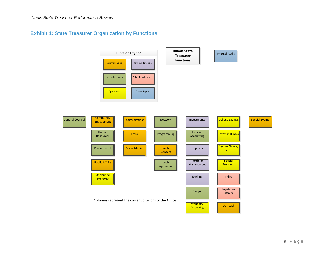## **Exhibit 1: State Treasurer Organization by Functions**

<span id="page-8-0"></span>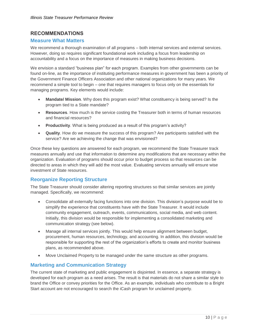## <span id="page-9-0"></span>**RECOMMENDATIONS**

#### <span id="page-9-1"></span>**Measure What Matters**

We recommend a thorough examination of all programs – both internal services and external services. However, doing so requires significant foundational work including a focus from leadership on accountability and a focus on the importance of measures in making business decisions.

We envision a standard "business plan" for each program. Examples from other governments can be found on-line, as the importance of instituting performance measures in government has been a priority of the Government Finance Officers Association and other national organizations for many years. We recommend a simple tool to begin – one that requires managers to focus only on the essentials for managing programs. Key elements would include:

- **Mandate/ Mission**. Why does this program exist? What constituency is being served? Is the program tied to a State mandate?
- **Resources**. How much is the service costing the Treasurer both in terms of human resources and financial resources?
- **Productivity**. What is being produced as a result of this program's activity?
- **Quality**. How do we measure the success of this program? Are participants satisfied with the service? Are we achieving the change that was envisioned?

Once these key questions are answered for each program, we recommend the State Treasurer track measures annually and use that information to determine any modifications that are necessary within the organization. Evaluation of programs should occur prior to budget process so that resources can be directed to areas in which they will add the most value. Evaluating services annually will ensure wise investment of State resources.

## <span id="page-9-2"></span>**Reorganize Reporting Structure**

The State Treasurer should consider altering reporting structures so that similar services are jointly managed. Specifically, we recommend:

- Consolidate all externally facing functions into one division. This division's purpose would be to simplify the experience that constituents have with the State Treasurer. It would include community engagement, outreach, events, communications, social media, and web content. Initially, this division would be responsible for implementing a consolidated marketing and communication strategy (see below).
- Manage all internal services jointly. This would help ensure alignment between budget, procurement, human resources, technology, and accounting. In addition, this division would be responsible for supporting the rest of the organization's efforts to create and monitor business plans, as recommended above.
- Move Unclaimed Property to be managed under the same structure as other programs.

#### <span id="page-9-3"></span>**Marketing and Communication Strategy**

The current state of marketing and public engagement is disjointed. In essence, a separate strategy is developed for each program as a need arises. The result is that materials do not share a similar style to brand the Office or convey priorities for the Office. As an example, individuals who contribute to a Bright Start account are not encouraged to search the iCash program for unclaimed property.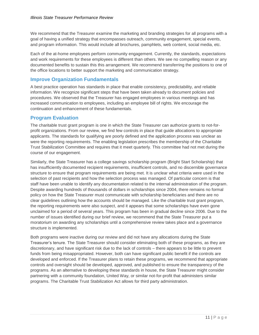We recommend that the Treasurer examine the marketing and branding strategies for all programs with a goal of having a unified strategy that encompasses outreach, community engagement, special events, and program information. This would include all brochures, pamphlets, web content, social media, etc.

Each of the at-home employees perform community engagement. Currently, the standards, expectations and work requirements for these employees is different than others. We see no compelling reason or any documented benefits to sustain this this arrangement. We recommend transferring the positions to one of the office locations to better support the marketing and communication strategy.

#### <span id="page-10-0"></span>**Improve Organization Fundamentals**

A best practice operation has standards in place that enable consistency, predictability, and reliable information. We recognize significant steps that have been taken already to document policies and procedures. We observed that the Treasurer has engaged employees in various meetings and has increased communication to employees, including an employee bill of rights. We encourage the continuation and enhancement of these fundamentals.

#### <span id="page-10-1"></span>**Program Evaluation**

The charitable trust grant program is one in which the State Treasurer can authorize grants to not-forprofit organizations. From our review, we find few controls in place that guide allocations to appropriate applicants. The standards for qualifying are poorly defined and the application process was unclear as were the reporting requirements. The enabling legislation prescribes the membership of the Charitable Trust Stabilization Committee and requires that it meet quarterly. This committee had not met during the course of our engagement.

Similarly, the State Treasurer has a college savings scholarship program (Bright Start Scholarship) that has insufficiently documented recipient requirements, insufficient controls, and no discernible governance structure to ensure that program requirements are being met. It is unclear what criteria were used in the selection of past recipients and how the selection process was managed. Of particular concern is that staff have been unable to identify any documentation related to the internal administration of the program. Despite awarding hundreds of thousands of dollars in scholarships since 2004, there remains no formal policy on how the State Treasurer must communicate with scholarship beneficiaries and there are no clear guidelines outlining how the accounts should be managed. Like the charitable trust grant program, the reporting requirements were also suspect, and it appears that some scholarships have even gone unclaimed for a period of several years. This program has been in gradual decline since 2006. Due to the number of issues identified during our brief review, we recommend that the State Treasurer put a moratorium on awarding any scholarships until a comprehensive review takes place and a governance structure is implemented.

Both programs were inactive during our review and did not have any allocations during the State Treasurer's tenure. The State Treasurer should consider eliminating both of these programs, as they are discretionary, and have significant risk due to the lack of controls – there appears to be little to prevent funds from being misappropriated. However, both can have significant public benefit if the controls are developed and enforced. If the Treasurer plans to retain these programs, we recommend that appropriate controls and oversight should be developed, approved, and published to ensure the transparency of the programs. As an alternative to developing these standards in house, the State Treasurer might consider partnering with a community foundation, United Way, or similar not-for-profit that administers similar programs. The Charitable Trust Stabilization Act allows for third party administration.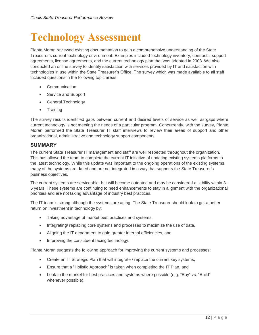## <span id="page-11-0"></span>**Technology Assessment**

Plante Moran reviewed existing documentation to gain a comprehensive understanding of the State Treasurer's current technology environment. Examples included technology inventory, contracts, support agreements, license agreements, and the current technology plan that was adopted in 2003. We also conducted an online survey to identify satisfaction with services provided by IT and satisfaction with technologies in use within the State Treasurer's Office. The survey which was made available to all staff included questions in the following topic areas:

- Communication
- Service and Support
- General Technology
- Training

The survey results identified gaps between current and desired levels of service as well as gaps where current technology is not meeting the needs of a particular program. Concurrently, with the survey, Plante Moran performed the State Treasurer IT staff interviews to review their areas of support and other organizational, administrative and technology support components.

#### <span id="page-11-1"></span>**SUMMARY**

The current State Treasurer IT management and staff are well respected throughout the organization. This has allowed the team to complete the current IT initiative of updating existing systems platforms to the latest technology. While this update was important to the ongoing operations of the existing systems, many of the systems are dated and are not integrated in a way that supports the State Treasurer's business objectives.

The current systems are serviceable, but will become outdated and may be considered a liability within 3- 5 years. These systems are continuing to need enhancements to stay in alignment with the organizational priorities and are not taking advantage of industry best practices.

The IT team is strong although the systems are aging. The State Treasurer should look to get a better return on investment in technology by:

- Taking advantage of market best practices and systems,
- Integrating/ replacing core systems and processes to maximize the use of data,
- Aligning the IT department to gain greater internal efficiencies, and
- Improving the constituent facing technology.

Plante Moran suggests the following approach for improving the current systems and processes:

- Create an IT Strategic Plan that will integrate / replace the current key systems,
- Ensure that a "Holistic Approach" is taken when completing the IT Plan, and
- Look to the market for best practices and systems where possible (e.g. "Buy" vs. "Build" whenever possible).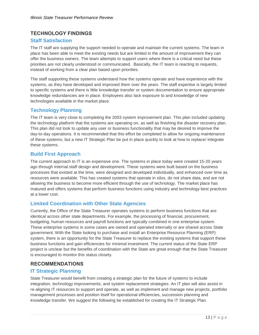## <span id="page-12-0"></span>**TECHNOLOGY FINDINGS**

#### <span id="page-12-1"></span>**Staff Satisfaction**

The IT staff are supplying the support needed to operate and maintain the current systems. The team in place has been able to meet the existing needs but are limited in the amount of improvement they can offer the business owners. The team attempts to support users where there is a critical need but these priorities are not clearly understood or communicated. Basically, the IT team is reacting to requests, instead of working from a clear plan based upon priorities.

The staff supporting these systems understand how the systems operate and have experience with the systems, as they have developed and improved them over the years. The staff expertise is largely limited to specific systems and there is little knowledge transfer or system documentation to ensure appropriate knowledge redundancies are in place. Employees also lack exposure to and knowledge of new technologies available in the market place.

#### <span id="page-12-2"></span>**Technology Planning**

The IT team is very close to completing the 2003 system improvement plan. This plan included updating the technology platform that the systems are operating on, as well as finishing the disaster recovery plan. This plan did not look to update any user or business functionality that may be desired to improve the day-to-day operations. It is recommended that this effort be completed to allow for ongoing maintenance of these systems, but a new IT Strategic Plan be put in place quickly to look at how to replace/ integrate these systems.

#### <span id="page-12-3"></span>**Build First Approach**

The current approach to IT is an expensive one. The systems in place today were created 15-20 years ago through internal staff design and development. These systems were built based on the business processes that existed at the time, were designed and developed individually, and enhanced over time as resources were available. This has created systems that operate in silos, do not share data, and are not allowing the business to become more efficient through the use of technology. The market place has matured and offers systems that perform business functions using industry and technology best practices at a lower cost.

## <span id="page-12-4"></span>**Limited Coordination with Other State Agencies**

Currently, the Office of the State Treasurer operates systems to perform business functions that are identical across other state departments. For example, the processing of financial, procurement, budgeting, human resources and payroll functions are typically combined in one enterprise system. These enterprise systems in some cases are owned and operated internally or are shared across State government. With the State looking to purchase and install an Enterprise Resource Planning (ERP) system, there is an opportunity for the State Treasurer to replace the existing systems that support these business functions and gain efficiencies for minimal investment. The current status of the State ERP project is unclear but the benefits of coordination with the State are great enough that the State Treasurer is encouraged to monitor this status closely.

#### <span id="page-12-5"></span>**RECOMMENDATIONS**

#### <span id="page-12-6"></span>**IT Strategic Planning**

State Treasurer would benefit from creating a strategic plan for the future of systems to include integration, technology improvements, and system replacement strategies. An IT plan will also assist in re-aligning IT resources to support and operate, as well as implement and manage new projects, portfolio management processes and position itself for operational efficiencies, succession planning and knowledge transfer. We suggest the following be established for creating the IT Strategic Plan.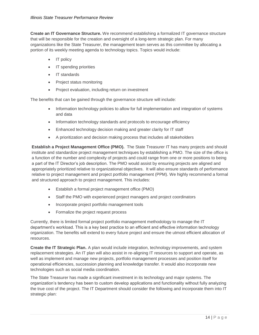**Create an IT Governance Structure.** We recommend establishing a formalized IT governance structure that will be responsible for the creation and oversight of a long-term strategic plan. For many organizations like the State Treasurer, the management team serves as this committee by allocating a portion of its weekly meeting agenda to technology topics. Topics would include:

- IT policy
- IT spending priorities
- IT standards
- Project status monitoring
- Project evaluation, including return on investment

The benefits that can be gained through the governance structure will include:

- Information technology policies to allow for full implementation and integration of systems and data
- Information technology standards and protocols to encourage efficiency
- Enhanced technology decision making and greater clarity for IT staff
- A prioritization and decision making process that includes all stakeholders

**Establish a Project Management Office (PMO).** The State Treasurer IT has many projects and should institute and standardize project management techniques by establishing a PMO. The size of the office is a function of the number and complexity of projects and could range from one or more positions to being a part of the IT Director's job description. The PMO would assist by ensuring projects are aligned and appropriately prioritized relative to organizational objectives. It will also ensure standards of performance relative to project management and project portfolio management (PPM). We highly recommend a formal and structured approach to project management. This includes:

- Establish a formal project management office (PMO)
- Staff the PMO with experienced project managers and project coordinators
- Incorporate project portfolio management tools
- Formalize the project request process

Currently, there is limited formal project portfolio management methodology to manage the IT department's workload. This is a key best practice to an efficient and effective information technology organization. The benefits will extend to every future project and ensure the utmost efficient allocation of resources.

**Create the IT Strategic Plan.** A plan would include integration, technology improvements, and system replacement strategies. An IT plan will also assist in re-aligning IT resources to support and operate, as well as implement and manage new projects, portfolio management processes and position itself for operational efficiencies, succession planning and knowledge transfer. It would also incorporate new technologies such as social media coordination.

The State Treasurer has made a significant investment in its technology and major systems. The organization's tendency has been to custom develop applications and functionality without fully analyzing the true cost of the project. The IT Department should consider the following and incorporate them into IT strategic plan: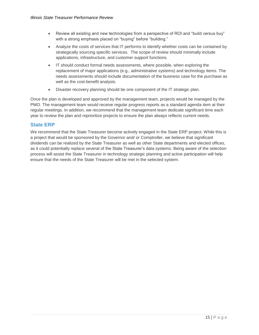- Review all existing and new technologies from a perspective of ROI and "build versus buy" with a strong emphasis placed on "buying" before "building."
- Analyze the costs of services that IT performs to identify whether costs can be contained by strategically sourcing specific services. The scope of review should minimally include applications, infrastructure, and customer support functions.
- IT should conduct formal needs assessments, where possible, when exploring the replacement of major applications (e.g., administrative systems) and technology items. The needs assessments should include documentation of the business case for the purchase as well as the cost-benefit analysis.
- Disaster recovery planning should be one component of the IT strategic plan.

Once the plan is developed and approved by the management team, projects would be managed by the PMO. The management team would receive regular progress reports as a standard agenda item at their regular meetings. In addition, we recommend that the management team dedicate significant time each year to review the plan and reprioritize projects to ensure the plan always reflects current needs.

#### <span id="page-14-0"></span>**State ERP**

We recommend that the State Treasurer become actively engaged in the State ERP project. While this is a project that would be sponsored by the Governor and/ or Comptroller, we believe that significant dividends can be realized by the State Treasurer as well as other State departments and elected offices, as it could potentially replace several of the State Treasurer's data systems. Being aware of the selection process will assist the State Treasurer in technology strategic planning and active participation will help ensure that the needs of the State Treasurer will be met in the selected system.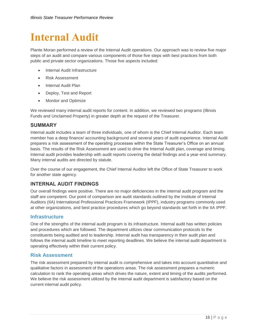## <span id="page-15-0"></span>**Internal Audit**

Plante Moran performed a review of the Internal Audit operations. Our approach was to review five major steps of an audit and compare various components of those five steps with best practices from both public and private sector organizations. Those five aspects included:

- Internal Audit Infrastructure
- Risk Assessment
- Internal Audit Plan
- Deploy, Test and Report
- Monitor and Optimize

We reviewed many internal audit reports for content. In addition, we reviewed two programs (Illinois Funds and Unclaimed Property) in greater depth at the request of the Treasurer.

#### <span id="page-15-1"></span>**SUMMARY**

Internal audit includes a team of three individuals, one of whom is the Chief Internal Auditor. Each team member has a deep finance/ accounting background and several years of audit experience. Internal Audit prepares a risk assessment of the operating processes within the State Treasurer's Office on an annual basis. The results of the Risk Assessment are used to drive the Internal Audit plan, coverage and timing. Internal audit provides leadership with audit reports covering the detail findings and a year-end summary. Many internal audits are directed by statute.

Over the course of our engagement, the Chief Internal Auditor left the Office of State Treasurer to work for another state agency.

## <span id="page-15-2"></span>**INTERNAL AUDIT FINDINGS**

Our overall findings were positive. There are no major deficiencies in the internal audit program and the staff are competent. Our point of comparison are audit standards outlined by the Institute of Internal Auditors (IIA) International Professional Practices Framework (IPPF), industry programs commonly used at other organizations, and best practice procedures which go beyond standards set forth in the IIA IPPF.

#### <span id="page-15-3"></span>**Infrastructure**

One of the strengths of the internal audit program is its infrastructure. Internal audit has written policies and procedures which are followed. The department utilizes clear communication protocols to the constituents being audited and to leadership. Internal audit has transparency in their audit plan and follows the internal audit timeline to meet reporting deadlines. We believe the internal audit department is operating effectively within their current policy.

#### <span id="page-15-4"></span>**Risk Assessment**

The risk assessment prepared by internal audit is comprehensive and takes into account quantitative and qualitative factors in assessment of the operations areas. The risk assessment prepares a numeric calculation to rank the operating areas which drives the nature, extent and timing of the audits performed. We believe the risk assessment utilized by the internal audit department is satisfactory based on the current internal audit policy.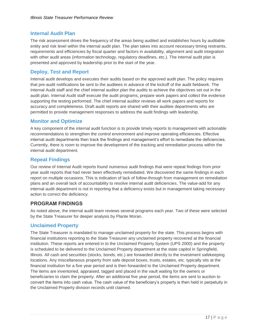## <span id="page-16-0"></span>**Internal Audit Plan**

The risk assessment drives the frequency of the areas being audited and establishes hours by auditable entity and risk level within the internal audit plan. The plan takes into account necessary timing restraints, requirements and efficiencies by fiscal quarter and factors in availability, alignment and audit integration with other audit areas (information technology, regulatory deadlines, etc.). The internal audit plan is presented and approved by leadership prior to the start of the year.

#### <span id="page-16-1"></span>**Deploy, Test and Report**

Internal audit develops and executes their audits based on the approved audit plan. The policy requires that pre-audit notifications be sent to the auditees in advance of the kickoff of the audit fieldwork. The Internal Audit staff and the chief internal auditor plan the audits to achieve the objectives set out in the audit plan. Internal Audit staff execute the audit programs, prepare work papers and collect the evidence supporting the testing performed. The chief internal auditor reviews all work papers and reports for accuracy and completeness. Draft audit reports are shared with their auditee departments who are permitted to provide management responses to address the audit findings with leadership.

## <span id="page-16-2"></span>**Monitor and Optimize**

A key component of the internal audit function is to provide timely reports to management with actionable recommendations to strengthen the control environment and improve operating efficiencies. Effective internal audit departments then track the findings and management's effort to remediate the deficiencies. Currently, there is room to improve the development of the tracking and remediation process within the internal audit department.

#### <span id="page-16-3"></span>**Repeat Findings**

Our review of Internal Audit reports found numerous audit findings that were repeat findings from prior year audit reports that had never been effectively remediated. We discovered the same findings in each report on multiple occasions. This is indication of lack of follow-through from management on remediation plans and an overall lack of accountability to resolve internal audit deficiencies. The value-add for any internal audit department is not in reporting that a deficiency exists but in management taking necessary action to correct the deficiency.

## <span id="page-16-4"></span>**PROGRAM FINDINGS**

As noted above, the internal audit team reviews several programs each year. Two of these were selected by the State Treasurer for deeper analysis by Plante Moran.

#### <span id="page-16-5"></span>**Unclaimed Property**

The State Treasurer is mandated to manage unclaimed property for the state. This process begins with financial institutions reporting to the State Treasurer any unclaimed property recovered at the financial institution. These reports are entered in to the Unclaimed Property System (UPS 2000) and the property is scheduled to be delivered to the Unclaimed Property department at the state capitol in Springfield, Illinois. All cash and securities (stocks, bonds, etc.) are forwarded directly to the investment safekeeping locations. Any miscellaneous property from safe deposit boxes, trusts, estates, etc. typically sits at the financial institution for a five year period and is then forwarded to the Unclaimed Property department. The items are inventoried, appraised, tagged and placed in the vault waiting for the owners or beneficiaries to claim the property. After an additional five year period, the items are sent to auction to convert the items into cash value. The cash value of the beneficiary's property is then held in perpetuity in the Unclaimed Property division records until claimed.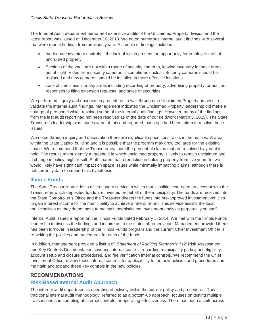The Internal Audit department performed extensive audits of the Unclaimed Property division and the latest report was issued on December 16, 2013. We noted numerous internal audit findings with several that were repeat findings from previous years. A sample of findings included:

- Inadequate inventory controls the lack of which present the opportunity for employee theft of unclaimed property.
- Sections of the vault are not within range of security cameras, leaving inventory in these areas out of sight. Video from security cameras is sometimes unclear. Security cameras should be replaced and new cameras should be installed in more effective locations.
- Lack of timeliness in many areas including recording of property, advertising property for auction, responses to filing extension requests, and sales of securities.

We performed inquiry and observation procedures to walkthrough the Unclaimed Property process to validate the internal audit findings. Management indicated the Unclaimed Property leadership did make a change of personnel which resolved some of the internal audit findings. However, many of the findings from the last audit report had not been resolved as of the date of our fieldwork (March 5, 2015). The State Treasurer's leadership was made aware of this and reported that steps had been taken to resolve these issues.

We noted through inquiry and observation there are significant space constraints in the main vault area within the State Capitol building and it is possible that the program may grow too large for the existing space. We recommend that the Treasurer evaluate the percent of claims that are resolved by year it is held. The results might identify a threshold in which unclaimed property is likely to remain unclaimed and a change in policy might result. Staff shared that a reduction in holding property from five years to two would likely have significant impact on space issues while minimally impacting claims, although there is not currently data to support this hypothesis.

## <span id="page-17-0"></span>**Illinois Funds**

The State Treasurer provides a discretionary service in which municipalities can open an account with the Treasurer in which deposited funds are invested on behalf of the municipality. The funds are received into the State Comptroller's Office and the Treasurer directs the funds into pre-approved investment vehicles to gain interest income for the municipality to achieve a rate of return. This service assists the local municipalities as they do not have to maintain sophisticated investment analysts perpetually on staff.

Internal Audit issued a report on the Illinois Funds dated February 5, 2014. We met with the Illinois Funds leadership to discuss the findings and inquire as to the status of remediation. Management provided there has been turnover in leadership of the Illinois Funds program and the current Chief Investment Officer is re-writing the policies and procedures for each of the funds.

In addition, management provided a listing of *'Statement of Auditing Standards 112'* Risk Assessment and Key Controls Documentation covering internal controls regarding municipality participant eligibility, account setup and closure procedures, and fee verification internal controls. We recommend the Chief Investment Officer review these internal controls for applicability to the new policies and procedures and maintain and expand these key controls in the new policies.

## <span id="page-17-1"></span>**RECOMMENDATIONS**

## <span id="page-17-2"></span>**Risk-Based Internal Audit Approach**

The internal audit department is operating effectively within the current policy and procedures. This traditional internal audit methodology, referred to as a bottom-up approach, focuses on testing multiple transactions and sampling of internal controls for operating effectiveness. There has been a shift across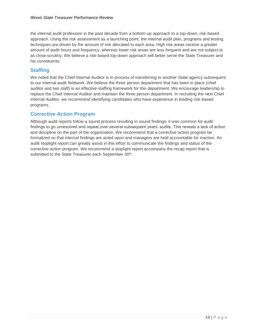the internal audit profession in the past decade from a bottom-up approach to a top-down, risk-based approach. Using the risk assessment as a launching point, the internal audit plan, programs and testing techniques are driven by the amount of risk allocated to each area. High risk areas receive a greater amount of audit hours and frequency, whereas lower risk areas are less frequent and are not subject to as close scrutiny. We believe a risk-based top-down approach will better serve the State Treasurer and his constituents.

#### <span id="page-18-0"></span>**Staffing**

We noted that the Chief Internal Auditor is in process of transferring to another State agency subsequent to our internal audit fieldwork. We believe the three person department that has been in place (chief auditor and two staff) is an effective staffing framework for this department. We encourage leadership to replace the Chief Internal Auditor and maintain the three person department. In recruiting the next Chief Internal Auditor, we recommend identifying candidates who have experience in leading risk-based programs.

#### <span id="page-18-1"></span>**Corrective Action Program**

Although audit reports follow a sound process resulting in sound findings, it was common for audit findings to go unresolved and repeat over several subsequent years' audits. This reveals a lack of action and discipline on the part of the organization. We recommend that a corrective action program be formalized so that internal findings are acted upon and managers are held accountable for inaction. An audit stoplight report can greatly assist in this effort to communicate the findings and status of the corrective action program. We recommend a stoplight report accompany the recap report that is submitted to the State Treasurer each September 30<sup>th</sup>.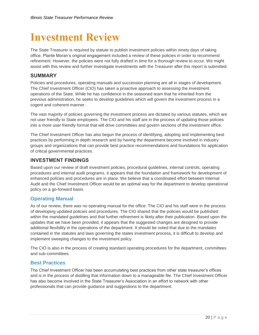## <span id="page-19-0"></span>**Investment Review**

The State Treasurer is required by statute to publish investment policies within ninety days of taking office. Plante Moran's original engagement included a review of these policies in order to recommend refinement. However, the policies were not fully drafted in time for a thorough review to occur. We might assist with this review and further investigate investments with the Treasurer after this report is submitted.

#### <span id="page-19-1"></span>**SUMMARY**

Policies and procedures, operating manuals and succession planning are all in stages of development. The Chief Investment Officer (CIO) has taken a proactive approach to assessing the investment operations of the State. While he has confidence in the seasoned team that he inherited from the previous administration, he seeks to develop guidelines which will govern the investment process in a cogent and coherent manner.

The vast majority of policies governing the investment process are dictated by various statutes, which are not user friendly to State employees. The CIO and his staff are in the process of updating those policies into a more user friendly format that will drive committees and govern sections of the investment office.

The Chief Investment Officer has also begun the process of identifying, adopting and implementing best practices by performing in depth research and by having the department become involved in industry groups and organizations that can provide best practice recommendations and foundations for application of critical governmental practices.

#### <span id="page-19-2"></span>**INVESTMENT FINDINGS**

Based upon our review of draft investment policies, procedural guidelines, internal controls, operating procedures and internal audit programs, it appears that the foundation and framework for development of enhanced policies and procedures are in place. We believe that a coordinated effort between Internal Audit and the Chief Investment Officer would be an optimal way for the department to develop operational policy on a go-forward basis.

## <span id="page-19-3"></span>**Operating Manual**

As of our review, there was no operating manual for the office. The CIO and his staff were in the process of developing updated policies and procedures. The CIO shared that the policies would be published within the mandated guidelines and that further refinement is likely after their publication. Based upon the updates that we have been provided, it appears that the suggested changes are designed to provide additional flexibility in the operations of the department. It should be noted that due to the mandates contained in the statutes and laws governing the states investment process, it is difficult to develop and implement sweeping changes to the investment policy.

The CIO is also in the process of creating standard operating procedures for the department, committees and sub-committees.

#### <span id="page-19-4"></span>**Best Practices**

The Chief Investment Officer has been accumulating best practices from other state treasurer's offices and is in the process of distilling that information down to a manageable file. The Chief Investment Officer has also become involved in the State Treasurer's Association in an effort to network with other professionals that can provide guidance and suggestions to the department.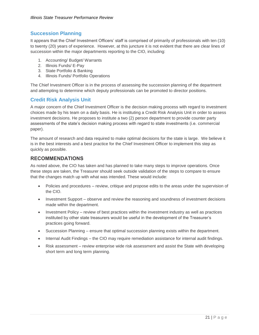## <span id="page-20-0"></span>**Succession Planning**

It appears that the Chief Investment Officers' staff is comprised of primarily of professionals with ten (10) to twenty (20) years of experience. However, at this juncture it is not evident that there are clear lines of succession within the major departments reporting to the CIO, including:

- 1. Accounting/ Budget/ Warrants
- 2. Illinois Funds/ E-Pay
- 3. State Portfolio & Banking
- 4. Illinois Funds/ Portfolio Operations

The Chief Investment Officer is in the process of assessing the succession planning of the department and attempting to determine which deputy professionals can be promoted to director positions.

## <span id="page-20-1"></span>**Credit Risk Analysis Unit**

A major concern of the Chief Investment Officer is the decision making process with regard to investment choices made by his team on a daily basis. He is instituting a Credit Risk Analysis Unit in order to assess investment decisions. He proposes to institute a two (2) person department to provide counter party assessments of the state's decision making process with regard to state investments (i.e. commercial paper).

The amount of research and data required to make optimal decisions for the state is large. We believe it is in the best interests and a best practice for the Chief Investment Officer to implement this step as quickly as possible.

#### <span id="page-20-2"></span>**RECOMMENDATIONS**

As noted above, the CIO has taken and has planned to take many steps to improve operations. Once these steps are taken, the Treasurer should seek outside validation of the steps to compare to ensure that the changes match up with what was intended. These would include:

- Policies and procedures review, critique and propose edits to the areas under the supervision of the CIO.
- Investment Support observe and review the reasoning and soundness of investment decisions made within the department.
- Investment Policy review of best practices within the investment industry as well as practices instituted by other state treasurers would be useful in the development of the Treasurer's practices going forward.
- Succession Planning ensure that optimal succession planning exists within the department.
- Internal Audit Findings the CIO may require remediation assistance for internal audit findings.
- Risk assessment review enterprise wide risk assessment and assist the State with developing short term and long term planning.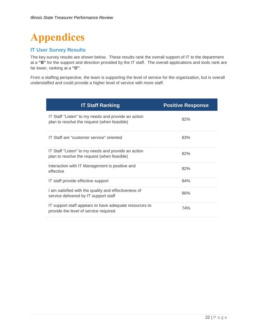# <span id="page-21-0"></span>**Appendices**

## <span id="page-21-1"></span>**IT User Survey Results**

The key survey results are shown below. These results rank the overall support of IT to the department at a **"B"** for the support and direction provided by the IT staff. The overall applications and tools rank are far lower, ranking at a **"D"**.

From a staffing perspective, the team is supporting the level of service for the organization, but is overall understaffed and could provide a higher level of service with more staff.

| <b>IT Staff Ranking</b>                                                                            | <b>Positive Response</b> |
|----------------------------------------------------------------------------------------------------|--------------------------|
| IT Staff "Listen" to my needs and provide an action<br>plan to resolve the request (when feasible) | 82%                      |
| IT Staff are "customer service" oriented                                                           | 83%                      |
| IT Staff "Listen" to my needs and provide an action<br>plan to resolve the request (when feasible) | 82%                      |
| Interaction with IT Management is positive and<br>effective                                        | 82%                      |
| IT staff provide effective support                                                                 | 84%                      |
| I am satisfied with the quality and effectiveness of<br>service delivered by IT support staff      | 86%                      |
| IT support staff appears to have adequate resources to<br>provide the level of service required.   | 74%                      |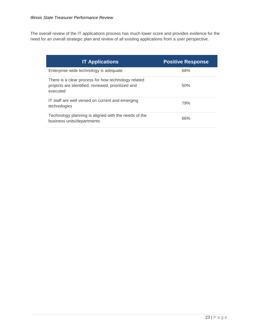The overall review of the IT applications process has much lower score and provides evidence for the need for an overall strategic plan and review of all existing applications from a user perspective.

| <b>IT Applications</b>                                                                                                | <b>Positive Response</b> |
|-----------------------------------------------------------------------------------------------------------------------|--------------------------|
| Enterprise-wide technology is adequate                                                                                | 68%                      |
| There is a clear process for how technology related<br>projects are identified, reviewed, prioritized and<br>executed | 50%                      |
| IT staff are well versed on current and emerging<br>technologies                                                      | 79%                      |
| Technology planning is aligned with the needs of the<br>business units/departments                                    | 66%                      |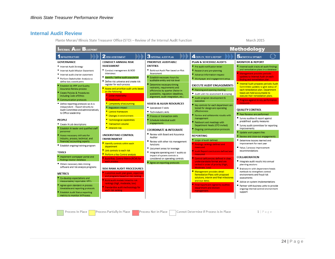## **Internal Audit Review**

Plante Moran/ Illinois State Treasurer Office (STO) - Review of the Internal Audit Function

March 2015

<span id="page-23-0"></span>

| <b>Methodology</b><br>NTERNAL AUDIT BLUEPRINT                                                                                                                                                                                                                                                                                                                                                                                                                                                                                                                                                                                                                                                                                                                                                                                                                                                                                                                                                                                                                                                                                            |                                                                                                                                                                                                                                                                                                                                                                                                                                                                                                                                                                                                                                                                                                                                                                                                                                                                                                                                                                                                  |                                                                                                                                                                                                                                                                                                                                                                                                                                                                                                                                                                                                                                                                                                                                                                                                                                         |                                                                                                                                                                                                                                                                                                                                                                                                                                                                                                                                                                                                                                                                                                                                                                                                                                                                                                                                                                                                                                                                                                     |                                                                                                                                                                                                                                                                                                                                                                                                                                                                                                                                                                                                                                                                                                                                                                                                                                                                                                                                                                                                                                                                                                                                                                                |  |
|------------------------------------------------------------------------------------------------------------------------------------------------------------------------------------------------------------------------------------------------------------------------------------------------------------------------------------------------------------------------------------------------------------------------------------------------------------------------------------------------------------------------------------------------------------------------------------------------------------------------------------------------------------------------------------------------------------------------------------------------------------------------------------------------------------------------------------------------------------------------------------------------------------------------------------------------------------------------------------------------------------------------------------------------------------------------------------------------------------------------------------------|--------------------------------------------------------------------------------------------------------------------------------------------------------------------------------------------------------------------------------------------------------------------------------------------------------------------------------------------------------------------------------------------------------------------------------------------------------------------------------------------------------------------------------------------------------------------------------------------------------------------------------------------------------------------------------------------------------------------------------------------------------------------------------------------------------------------------------------------------------------------------------------------------------------------------------------------------------------------------------------------------|-----------------------------------------------------------------------------------------------------------------------------------------------------------------------------------------------------------------------------------------------------------------------------------------------------------------------------------------------------------------------------------------------------------------------------------------------------------------------------------------------------------------------------------------------------------------------------------------------------------------------------------------------------------------------------------------------------------------------------------------------------------------------------------------------------------------------------------------|-----------------------------------------------------------------------------------------------------------------------------------------------------------------------------------------------------------------------------------------------------------------------------------------------------------------------------------------------------------------------------------------------------------------------------------------------------------------------------------------------------------------------------------------------------------------------------------------------------------------------------------------------------------------------------------------------------------------------------------------------------------------------------------------------------------------------------------------------------------------------------------------------------------------------------------------------------------------------------------------------------------------------------------------------------------------------------------------------------|--------------------------------------------------------------------------------------------------------------------------------------------------------------------------------------------------------------------------------------------------------------------------------------------------------------------------------------------------------------------------------------------------------------------------------------------------------------------------------------------------------------------------------------------------------------------------------------------------------------------------------------------------------------------------------------------------------------------------------------------------------------------------------------------------------------------------------------------------------------------------------------------------------------------------------------------------------------------------------------------------------------------------------------------------------------------------------------------------------------------------------------------------------------------------------|--|
| INFRASTRUCTURE                                                                                                                                                                                                                                                                                                                                                                                                                                                                                                                                                                                                                                                                                                                                                                                                                                                                                                                                                                                                                                                                                                                           | <b>2</b> RISK ASSESSMENT                                                                                                                                                                                                                                                                                                                                                                                                                                                                                                                                                                                                                                                                                                                                                                                                                                                                                                                                                                         | <b>3 INTERNAL AUDIT PLAN</b>                                                                                                                                                                                                                                                                                                                                                                                                                                                                                                                                                                                                                                                                                                                                                                                                            | <b>4</b> DEPLOY, TEST & REPORT                                                                                                                                                                                                                                                                                                                                                                                                                                                                                                                                                                                                                                                                                                                                                                                                                                                                                                                                                                                                                                                                      | <b>5</b> MONITOR & OPTIMIZE                                                                                                                                                                                                                                                                                                                                                                                                                                                                                                                                                                                                                                                                                                                                                                                                                                                                                                                                                                                                                                                                                                                                                    |  |
| <b>GOVERNANCE</b><br>Internal Audit Strategy<br>Internal Audit Mission Statement<br>Internal audit charter statement<br>Perform Stakeholder Analysis to<br>define key constituents<br>Establish IIA IPPF and Quality<br><b>Assurance Review process</b><br>Create Policies & Procedures<br>including Code of Ethics<br>Communication protocols<br>Define reporting protocols so IA is<br>independent - Report directly to<br>Audit Committee and administratively<br>to Office Leadership<br><b>PEOPLE</b><br>Create IA job descriptions<br>Establish IA leader and qualified staff<br>personnel<br>Assess necessary skill sets for<br>industry, process, technical, and<br>financial/accounting experts<br>Establish ongoing training program<br><b>TOOLS</b><br>Implement workpaper portal and<br>findings tracker database<br>Obtain necessary data mining<br>software and risk analysis programs<br><b>METRICS</b><br>Co-develop expectations and<br>measureable/reportable KPI's<br>Agree upon standard IA process<br>timetable and reporting protocols<br><b>Establish Audit Status reporting</b><br>metrics to monitor IA Process | <b>CONDUCT ANNUAL RISK</b><br><b>ASSESSMENT</b><br>Conduct management & BOD<br>interviews<br>Identify / define audit population<br>Define risk universe and create risk<br>register for each process<br>Assess and prioritize audit units based<br>on the following:<br>Dollar materiality<br><b>Headcount</b><br>Complexity of accounting<br>Regulatory impact<br>■ Control framework<br>Changes in environment<br>■ Technological capabilities<br><b>Transaction volume</b><br>Inherent risk<br><b>UNDERSTAND CONTROL</b><br><b>ENVIRONMENT</b><br>I Identify controls within each<br>department<br><b>E</b> Link controls to each risk<br>Perform a Key Control analysis<br>Build Risk, Control Matrix (RCM) for<br>each process<br><b>RISK RANK AUDIT PROCEDURES</b><br>Customize audit plan goals, objectives<br>and programs based on risk ranking<br><b>Build audit models linked to risk</b><br>rankings (high, moderate, low)<br>Standardize audit methodology for<br>each risk ranking | PRIORITIZE AUDITABLE<br><b>ENTITIES</b><br>Build out Audit Plan based on Risk<br>Assessment<br>Establish necessary hours by<br>auditable entity and risk level<br>Determine necessary timing<br>restraints, requirements and<br>efficiencies by quarter (factor in<br>availability, regulatory deadlines,<br>alignment, audit integration, etc.)<br><b>ASSESS &amp; ALIGN RESOURCES</b><br>■ Specialized IT skills<br>Tech-industry skills<br>Process or transaction skills<br>Schedule individual audit<br>engagements<br><b>COORDINATE &amp; INTEGRATE</b><br>Review with Board and Assurance<br>Auditor<br>Review with other risk management<br>functions<br>Document areas for leverage<br>Integrate operating and IT audits so<br>impact of system controls is<br>considered on operating controls<br>Agree on reporting protocols | <b>PLAN &amp; SCHEDULE AUDITS</b><br>Pre audit notification letter<br>Research and pre-planning<br>Advance information request<br>■ Workpaper and engagement setup<br><b>EXECUTE AUDIT ENGAGEMENTS</b><br>Planning and opening meeting<br>Audit unit risk assessment & scoping<br>Audit program development &<br>execution<br>■ Key controls for each department are<br>tested for design and operating<br>effectiveness<br>Review and collaborate results with<br>management<br>Fieldwork exit meetings with<br>Department Heads (CFO invited)<br>■ Ongoing communication protocols<br><b>REPORTING</b><br>Scope of audit defined<br><b>Findings rankings defined and</b><br>measured<br>Audit Report conclusions defined and<br>measured<br>Control deficiencies defined in clear,<br>understandable format and are<br>ranked in order of priority (High,<br>Moderate, Low)<br>Management provides detail<br><b>Remediation Plans with proposed</b><br>solutions, interim and final milestones<br>and due dates.<br>Final reports are signed by auditee<br>department and division<br>management. | <b>MONITOR &amp; REPORT</b><br>Internal audit tracks all audit findings<br>and remediation plans in a database<br>Management provides periodic<br>updates to Internal Audit on each<br>finding and remediation plan.<br>Internal Audit prepares periodic Audit<br>Committee updates to give status of<br>each remediation plan. Department<br>heads are held accountable to<br>execute their remediation plans.<br>Progress against IA key performance<br>measures<br><b>QUALITY CONTROL</b><br>Peer Reviews are performed<br>Survey auditee & report against<br>predefined quality measures<br>■ Survey audit committee for reporting<br>improvements<br>Update work papers files<br>Review and close-out engagements<br>Determine lessons learned and<br>improvement for next year<br>Value / process improvement<br>recommendations<br><b>COLLABORATION</b><br>Integrate audit results into annual<br>planning sessions<br>Brainstorm with department heads<br>methods to strengthen control<br>environments and fraud risk<br>assessments<br>Advise on system implementations<br>Partner with business units to provide<br>ongoing internal control environment<br>support |  |

Process In Place

Process Partially In Place

Process Not in Place [

Cannot Determine if Process is In Place